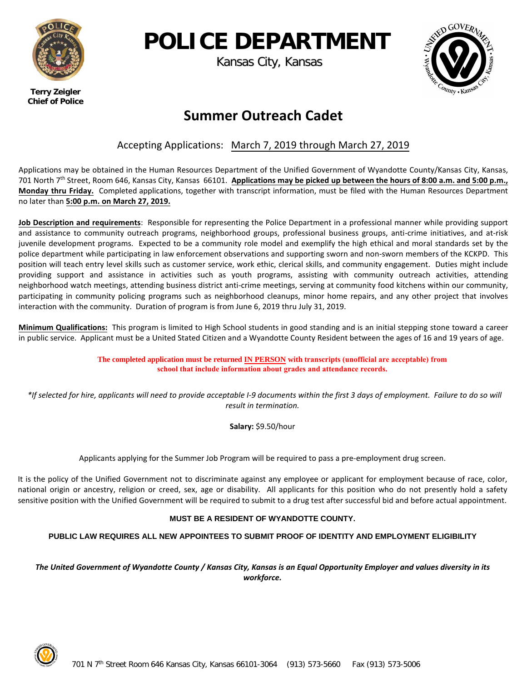

# **POLICE DEPARTMENT**

Kansas City, Kansas



 **Terry Zeigler Chief of Police**

# **Summer Outreach Cadet**

## Accepting Applications: March 7, 2019 through March 27, 2019

Applications may be obtained in the Human Resources Department of the Unified Government of Wyandotte County/Kansas City, Kansas, 701 North 7<sup>th</sup> Street, Room 646, Kansas City, Kansas 66101. Applications may be picked up between the hours of 8:00 a.m. and 5:00 p.m., **Monday thru Friday.** Completed applications, together with transcript information, must be filed with the Human Resources Department no later than **5:00 p.m. on March 27, 2019.** 

**Job Description and requirements**: Responsible for representing the Police Department in a professional manner while providing support and assistance to community outreach programs, neighborhood groups, professional business groups, anti-crime initiatives, and at-risk juvenile development programs. Expected to be a community role model and exemplify the high ethical and moral standards set by the police department while participating in law enforcement observations and supporting sworn and non-sworn members of the KCKPD. This position will teach entry level skills such as customer service, work ethic, clerical skills, and community engagement. Duties might include providing support and assistance in activities such as youth programs, assisting with community outreach activities, attending neighborhood watch meetings, attending business district anti-crime meetings, serving at community food kitchens within our community, participating in community policing programs such as neighborhood cleanups, minor home repairs, and any other project that involves interaction with the community. Duration of program is from June 6, 2019 thru July 31, 2019.

**Minimum Qualifications:** This program is limited to High School students in good standing and is an initial stepping stone toward a career in public service. Applicant must be a United Stated Citizen and a Wyandotte County Resident between the ages of 16 and 19 years of age.

> **The completed application must be returned IN PERSON with transcripts (unofficial are acceptable) from school that include information about grades and attendance records.**

*\*If selected for hire, applicants will need to provide acceptable I-9 documents within the first 3 days of employment. Failure to do so will result in termination.* 

**Salary:** \$9.50/hour

Applicants applying for the Summer Job Program will be required to pass a pre-employment drug screen.

It is the policy of the Unified Government not to discriminate against any employee or applicant for employment because of race, color, national origin or ancestry, religion or creed, sex, age or disability. All applicants for this position who do not presently hold a safety sensitive position with the Unified Government will be required to submit to a drug test after successful bid and before actual appointment.

### **MUST BE A RESIDENT OF WYANDOTTE COUNTY.**

**PUBLIC LAW REQUIRES ALL NEW APPOINTEES TO SUBMIT PROOF OF IDENTITY AND EMPLOYMENT ELIGIBILITY**

*The United Government of Wyandotte County / Kansas City, Kansas is an Equal Opportunity Employer and values diversity in its workforce.*

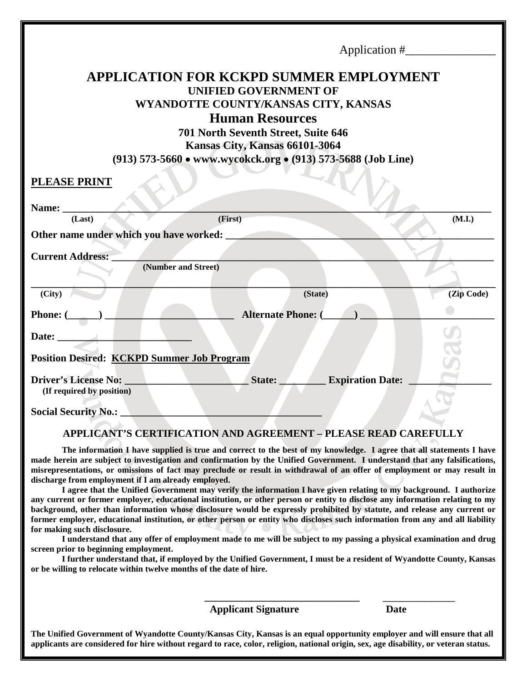| <b>APPLICATION FOR KCKPD SUMMER EMPLOYMENT</b><br><b>UNIFIED GOVERNMENT OF</b><br>WYANDOTTE COUNTY/KANSAS CITY, KANSAS<br><b>Human Resources</b><br>701 North Seventh Street, Suite 646<br>Kansas City, Kansas 66101-3064<br>(913) 573-5660 • www.wycokck.org • (913) 573-5688 (Job Line) |                                   |            |  |  |  |  |  |  |
|-------------------------------------------------------------------------------------------------------------------------------------------------------------------------------------------------------------------------------------------------------------------------------------------|-----------------------------------|------------|--|--|--|--|--|--|
| <b>PLEASE PRINT</b>                                                                                                                                                                                                                                                                       |                                   |            |  |  |  |  |  |  |
| Name:<br>(Last)                                                                                                                                                                                                                                                                           | (First)                           | (M.I.)     |  |  |  |  |  |  |
| Other name under which you have worked:                                                                                                                                                                                                                                                   |                                   |            |  |  |  |  |  |  |
| <b>Current Address:</b><br>(Number and Street)                                                                                                                                                                                                                                            |                                   |            |  |  |  |  |  |  |
| (City)                                                                                                                                                                                                                                                                                    | (State)                           | (Zip Code) |  |  |  |  |  |  |
| Phone: $(\_\_\_\_\_\_\$                                                                                                                                                                                                                                                                   | <b>Alternate Phone: (</b>         |            |  |  |  |  |  |  |
| Date: $\qquad \qquad$                                                                                                                                                                                                                                                                     |                                   |            |  |  |  |  |  |  |
| <b>Position Desired: KCKPD Summer Job Program</b>                                                                                                                                                                                                                                         |                                   |            |  |  |  |  |  |  |
| <b>Driver's License No:</b><br>(If required by position)                                                                                                                                                                                                                                  | State:<br><b>Expiration Date:</b> |            |  |  |  |  |  |  |
| <b>Social Security No.:</b>                                                                                                                                                                                                                                                               |                                   |            |  |  |  |  |  |  |

#### **APPLICANT'S CERTIFICATION AND AGREEMENT – PLEASE READ CAREFULLY**

**The information I have supplied is true and correct to the best of my knowledge. I agree that all statements I have made herein are subject to investigation and confirmation by the Unified Government. I understand that any falsifications, misrepresentations, or omissions of fact may preclude or result in withdrawal of an offer of employment or may result in discharge from employment if I am already employed.**

**I agree that the Unified Government may verify the information I have given relating to my background. I authorize any current or former employer, educational institution, or other person or entity to disclose any information relating to my background, other than information whose disclosure would be expressly prohibited by statute, and release any current or former employer, educational institution, or other person or entity who discloses such information from any and all liability for making such disclosure.**

**I understand that any offer of employment made to me will be subject to my passing a physical examination and drug screen prior to beginning employment.**

**I further understand that, if employed by the Unified Government, I must be a resident of Wyandotte County, Kansas or be willing to relocate within twelve months of the date of hire.** 

**Applicant Signature Date**

**\_\_\_\_\_\_\_\_\_\_\_\_\_\_\_\_\_\_\_\_\_\_\_\_\_\_\_\_\_\_** \_\_\_\_\_\_\_\_\_\_\_\_

**The Unified Government of Wyandotte County/Kansas City, Kansas is an equal opportunity employer and will ensure that all applicants are considered for hire without regard to race, color, religion, national origin, sex, age disability, or veteran status.**